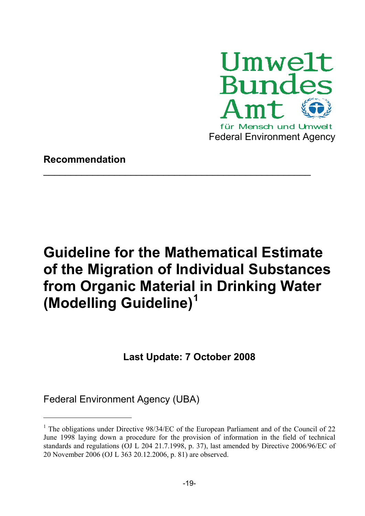

## **Recommendation**

# **Guideline for the Mathematical Estimate of the Migration of Individual Substances from Organic Material in Drinking Water (Modelling Guideline)<sup>1</sup>**

 $\_$  , and the contribution of the contribution of  $\mathcal{L}_\mathcal{A}$ 

## **Last Update: 7 October 2008**

Federal Environment Agency (UBA)

1

<sup>&</sup>lt;sup>1</sup> The obligations under Directive 98/34/EC of the European Parliament and of the Council of 22 June 1998 laying down a procedure for the provision of information in the field of technical standards and regulations (OJ L 204 21.7.1998, p. 37), last amended by Directive 2006/96/EC of 20 November 2006 (OJ L 363 20.12.2006, p. 81) are observed.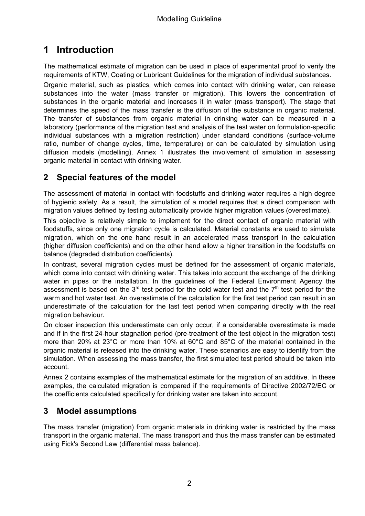## **1 Introduction**

The mathematical estimate of migration can be used in place of experimental proof to verify the requirements of KTW, Coating or Lubricant Guidelines for the migration of individual substances.

Organic material, such as plastics, which comes into contact with drinking water, can release substances into the water (mass transfer or migration). This lowers the concentration of substances in the organic material and increases it in water (mass transport). The stage that determines the speed of the mass transfer is the diffusion of the substance in organic material. The transfer of substances from organic material in drinking water can be measured in a laboratory (performance of the migration test and analysis of the test water on formulation-specific individual substances with a migration restriction) under standard conditions (surface-volume ratio, number of change cycles, time, temperature) or can be calculated by simulation using diffusion models (modelling). Annex 1 illustrates the involvement of simulation in assessing organic material in contact with drinking water.

## **2 Special features of the model**

The assessment of material in contact with foodstuffs and drinking water requires a high degree of hygienic safety. As a result, the simulation of a model requires that a direct comparison with migration values defined by testing automatically provide higher migration values (overestimate).

This objective is relatively simple to implement for the direct contact of organic material with foodstuffs, since only one migration cycle is calculated. Material constants are used to simulate migration, which on the one hand result in an accelerated mass transport in the calculation (higher diffusion coefficients) and on the other hand allow a higher transition in the foodstuffs on balance (degraded distribution coefficients).

In contrast, several migration cycles must be defined for the assessment of organic materials, which come into contact with drinking water. This takes into account the exchange of the drinking water in pipes or the installation. In the guidelines of the Federal Environment Agency the assessment is based on the  $3<sup>rd</sup>$  test period for the cold water test and the  $7<sup>th</sup>$  test period for the warm and hot water test. An overestimate of the calculation for the first test period can result in an underestimate of the calculation for the last test period when comparing directly with the real migration behaviour.

On closer inspection this underestimate can only occur, if a considerable overestimate is made and if in the first 24-hour stagnation period (pre-treatment of the test object in the migration test) more than 20% at 23°C or more than 10% at 60°C and 85°C of the material contained in the organic material is released into the drinking water. These scenarios are easy to identify from the simulation. When assessing the mass transfer, the first simulated test period should be taken into account.

Annex 2 contains examples of the mathematical estimate for the migration of an additive. In these examples, the calculated migration is compared if the requirements of Directive 2002/72/EC or the coefficients calculated specifically for drinking water are taken into account.

## **3 Model assumptions**

The mass transfer (migration) from organic materials in drinking water is restricted by the mass transport in the organic material. The mass transport and thus the mass transfer can be estimated using Fick's Second Law (differential mass balance).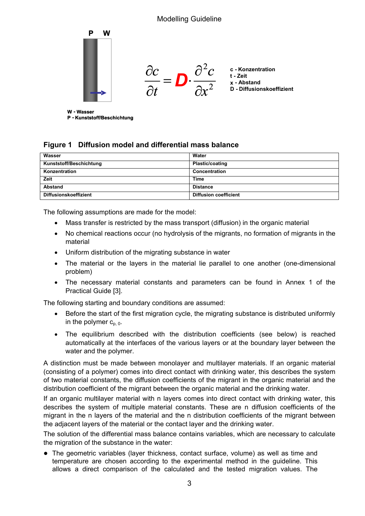

**P - Kunststoff/Beschichtung**

#### **Figure 1 Diffusion model and differential mass balance**

| Wasser                       | Water                        |
|------------------------------|------------------------------|
| Kunststoff/Beschichtung      | <b>Plastic/coating</b>       |
| Konzentration                | Concentration                |
| Zeit                         | Time                         |
| Abstand                      | <b>Distance</b>              |
| <b>Diffusionskoeffizient</b> | <b>Diffusion coefficient</b> |

The following assumptions are made for the model:

- Mass transfer is restricted by the mass transport (diffusion) in the organic material
- No chemical reactions occur (no hydrolysis of the migrants, no formation of migrants in the material
- Uniform distribution of the migrating substance in water
- The material or the layers in the material lie parallel to one another (one-dimensional problem)
- The necessary material constants and parameters can be found in Annex 1 of the Practical Guide [3].

The following starting and boundary conditions are assumed:

- Before the start of the first migration cycle, the migrating substance is distributed uniformly in the polymer  $c_{p,0}$ .
- The equilibrium described with the distribution coefficients (see below) is reached automatically at the interfaces of the various layers or at the boundary layer between the water and the polymer.

A distinction must be made between monolayer and multilayer materials. If an organic material (consisting of a polymer) comes into direct contact with drinking water, this describes the system of two material constants, the diffusion coefficients of the migrant in the organic material and the distribution coefficient of the migrant between the organic material and the drinking water.

If an organic multilayer material with n layers comes into direct contact with drinking water, this describes the system of multiple material constants. These are n diffusion coefficients of the migrant in the n layers of the material and the n distribution coefficients of the migrant between the adjacent layers of the material or the contact layer and the drinking water.

The solution of the differential mass balance contains variables, which are necessary to calculate the migration of the substance in the water:

● The geometric variables (layer thickness, contact surface, volume) as well as time and temperature are chosen according to the experimental method in the guideline. This allows a direct comparison of the calculated and the tested migration values. The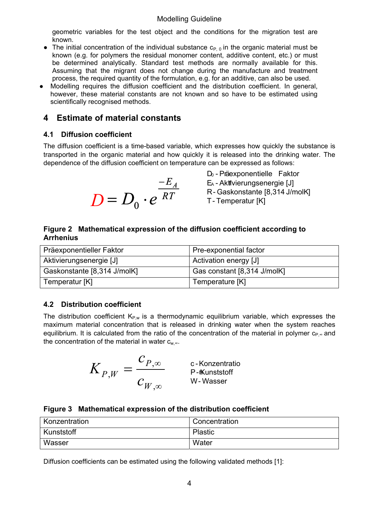geometric variables for the test object and the conditions for the migration test are known.

- The initial concentration of the individual substance  $c_{P, 0}$  in the organic material must be known (e.g. for polymers the residual monomer content, additive content, etc.) or must be determined analytically. Standard test methods are normally available for this. Assuming that the migrant does not change during the manufacture and treatment process, the required quantity of the formulation, e.g. for an additive, can also be used.
- Modelling requires the diffusion coefficient and the distribution coefficient. In general, however, these material constants are not known and so have to be estimated using scientifically recognised methods.

## **4 Estimate of material constants**

#### **4.1 Diffusion coefficient**

The diffusion coefficient is a time-based variable, which expresses how quickly the substance is transported in the organic material and how quickly it is released into the drinking water. The dependence of the diffusion coefficient on temperature can be expressed as follows:

$$
D = D_0 \cdot e^{\frac{-E_A}{RT}}
$$

D<sub>0</sub> - Präexponentielle Faktor E<sub>A</sub> - Aktivierungsenergie [J]  $\overline{RT}$  R-Gaskonstante [8,314 J/molK] T - Temperatur [K]

#### **Figure 2 Mathematical expression of the diffusion coefficient according to Arrhenius**

| Präexponentieller Faktor    | Pre-exponential factor      |
|-----------------------------|-----------------------------|
| Aktivierungsenergie [J]     | Activation energy [J]       |
| Gaskonstante [8,314 J/molK] | Gas constant [8,314 J/molK] |
| Temperatur [K]              | Temperature [K]             |

## **4.2 Distribution coefficient**

The distribution coefficient  $K_{P,w}$  is a thermodynamic equilibrium variable, which expresses the maximum material concentration that is released in drinking water when the system reaches equilibrium. It is calculated from the ratio of the concentration of the material in polymer  $c_{P}$ . and the concentration of the material in water  $c_w$ .

$$
K_{P,W} = \frac{c_{P,\infty}}{c_{W,\infty}}
$$
 c-Konzentratio  
P-Kunststoff  
W-Wasser

|  | Figure 3 Mathematical expression of the distribution coefficient |  |  |  |  |
|--|------------------------------------------------------------------|--|--|--|--|
|--|------------------------------------------------------------------|--|--|--|--|

| Konzentration | Concentration |
|---------------|---------------|
| Kunststoff    | Plastic       |
| Wasser        | Water         |

Diffusion coefficients can be estimated using the following validated methods [1]: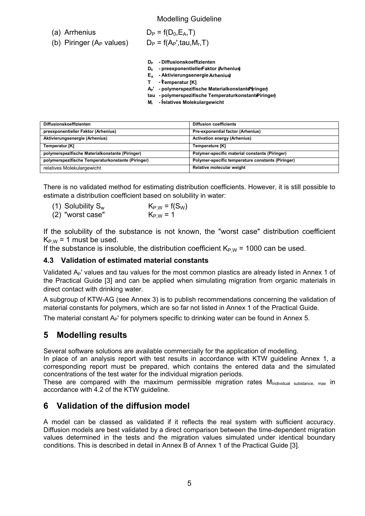(a) Arrhenius  $D_P = f(D_0, E_A, T)$ 

(b) Piringer (A<sub>P</sub> values)  $D_P = f(A_P',tau, M_r, T)$ 

**DP - Diffusionskoeffizienten** 

- **D0 - preexponentiellerFaktor (Arhenius)**
- **EA - Aktivierungsenergie Arhenius)**
- **( T - Temperatur [K]**
- **AP' - polymerspezifische Materialkonstante ( Piringer)**
- **tau - polymerspezifische Temperaturkonstante Piringer)**
- **( Mr - relatives Molekulargewicht**

| <b>Diffusionskoeffizienten</b>                    | <b>Diffusion coefficients</b>                     |
|---------------------------------------------------|---------------------------------------------------|
|                                                   |                                                   |
| preexponentieller Faktor (Arhenius)               | Pre-exponential factor (Arhenius)                 |
| Aktivierungsenergie (Arhenius)                    | <b>Activation energy (Arhenius)</b>               |
|                                                   |                                                   |
| Temperatur [K]                                    | Temperature [K]                                   |
|                                                   |                                                   |
| polymerspezifische Materialkonstante (Piringer)   | Polymer-specific material constants (Piringer)    |
| polymerspezifische Temperaturkonstante (Piringer) | Polymer-specific temperature constants (Piringer) |
|                                                   |                                                   |
| relatives Molekulargewicht                        | Relative molecular weight                         |
|                                                   |                                                   |

There is no validated method for estimating distribution coefficients. However, it is still possible to estimate a distribution coefficient based on solubility in water:

(1) Solubility S<sub>w</sub>  $K_{P,W} = f(S_W)$ <br>(2) "worst case"  $K_{P,W} = 1$  $(2)$  "worst case"

If the solubility of the substance is not known, the "worst case" distribution coefficient  $K_{PW}$  = 1 must be used.

If the substance is insoluble, the distribution coefficient  $K_{P,W}$  = 1000 can be used.

#### **4.3 Validation of estimated material constants**

Validated A<sub>P</sub>' values and tau values for the most common plastics are already listed in Annex 1 of the Practical Guide [3] and can be applied when simulating migration from organic materials in direct contact with drinking water.

A subgroup of KTW-AG (see Annex 3) is to publish recommendations concerning the validation of material constants for polymers, which are so far not listed in Annex 1 of the Practical Guide.

The material constant  $A_P'$  for polymers specific to drinking water can be found in Annex 5.

## **5 Modelling results**

Several software solutions are available commercially for the application of modelling.

In place of an analysis report with test results in accordance with KTW guideline Annex 1, a corresponding report must be prepared, which contains the entered data and the simulated concentrations of the test water for the individual migration periods.

These are compared with the maximum permissible migration rates M<sub>Individual substance, max</sub> in accordance with 4.2 of the KTW guideline.

## **6 Validation of the diffusion model**

A model can be classed as validated if it reflects the real system with sufficient accuracy. Diffusion models are best validated by a direct comparison between the time-dependent migration values determined in the tests and the migration values simulated under identical boundary conditions. This is described in detail in Annex B of Annex 1 of the Practical Guide [3].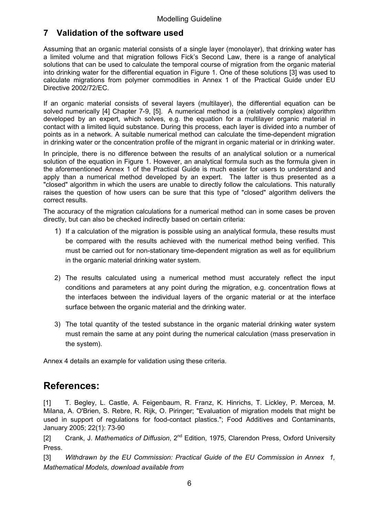## **7 Validation of the software used**

Assuming that an organic material consists of a single layer (monolayer), that drinking water has a limited volume and that migration follows Fick's Second Law, there is a range of analytical solutions that can be used to calculate the temporal course of migration from the organic material into drinking water for the differential equation in Figure 1. One of these solutions [3] was used to calculate migrations from polymer commodities in Annex 1 of the Practical Guide under EU Directive 2002/72/EC.

If an organic material consists of several layers (multilayer), the differential equation can be solved numerically [4] Chapter 7-9, [5]. A numerical method is a (relatively complex) algorithm developed by an expert, which solves, e.g. the equation for a multilayer organic material in contact with a limited liquid substance. During this process, each layer is divided into a number of points as in a network. A suitable numerical method can calculate the time-dependent migration in drinking water or the concentration profile of the migrant in organic material or in drinking water.

In principle, there is no difference between the results of an analytical solution or a numerical solution of the equation in Figure 1. However, an analytical formula such as the formula given in the aforementioned Annex 1 of the Practical Guide is much easier for users to understand and apply than a numerical method developed by an expert. The latter is thus presented as a "closed" algorithm in which the users are unable to directly follow the calculations. This naturally raises the question of how users can be sure that this type of "closed" algorithm delivers the correct results.

The accuracy of the migration calculations for a numerical method can in some cases be proven directly, but can also be checked indirectly based on certain criteria:

- 1) If a calculation of the migration is possible using an analytical formula, these results must be compared with the results achieved with the numerical method being verified. This must be carried out for non-stationary time-dependent migration as well as for equilibrium in the organic material drinking water system.
- 2) The results calculated using a numerical method must accurately reflect the input conditions and parameters at any point during the migration, e.g. concentration flows at the interfaces between the individual layers of the organic material or at the interface surface between the organic material and the drinking water.
- 3) The total quantity of the tested substance in the organic material drinking water system must remain the same at any point during the numerical calculation (mass preservation in the system).

Annex 4 details an example for validation using these criteria.

## **References:**

[1] T. Begley, L. Castle, A. Feigenbaum, R. Franz, K. Hinrichs, T. Lickley, P. Mercea, M. Milana, A. O'Brien, S. Rebre, R. Rijk, O. Piringer; "Evaluation of migration models that might be used in support of regulations for food-contact plastics."; Food Additives and Contaminants, January 2005; 22(1): 73-90

[2] Crank, J. *Mathematics of Diffusion*, 2nd Edition, 1975, Clarendon Press, Oxford University Press.

[3] *Withdrawn by the EU Commission: Practical Guide of the EU Commission in Annex 1, Mathematical Models, download available from*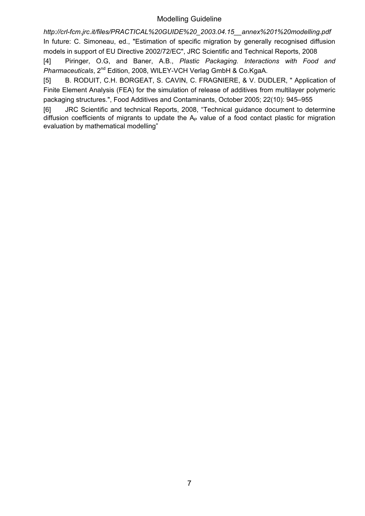*http://crl-fcm.jrc.it/files/PRACTICAL%20GUIDE%20\_2003.04.15\_\_annex%201%20modelling.pdf*  In future: C. Simoneau, ed., "Estimation of specific migration by generally recognised diffusion models in support of EU Directive 2002/72/EC", JRC Scientific and Technical Reports, 2008

[4] Piringer, O.G, and Baner, A.B., *Plastic Packaging. Interactions with Food and Pharmaceuticals*, 2nd Edition, 2008, WILEY-VCH Verlag GmbH & Co.KgaA.

[5] B. RODUIT, C.H. BORGEAT, S. CAVIN, C. FRAGNIERE, & V. DUDLER, "Application of Finite Element Analysis (FEA) for the simulation of release of additives from multilayer polymeric packaging structures.", Food Additives and Contaminants, October 2005; 22(10): 945–955

[6] JRC Scientific and technical Reports, 2008, "Technical guidance document to determine diffusion coefficients of migrants to update the  $A_P$  value of a food contact plastic for migration evaluation by mathematical modelling"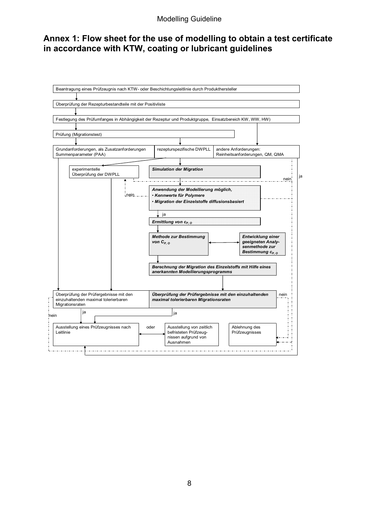## **Annex 1: Flow sheet for the use of modelling to obtain a test certificate in accordance with KTW, coating or lubricant guidelines**

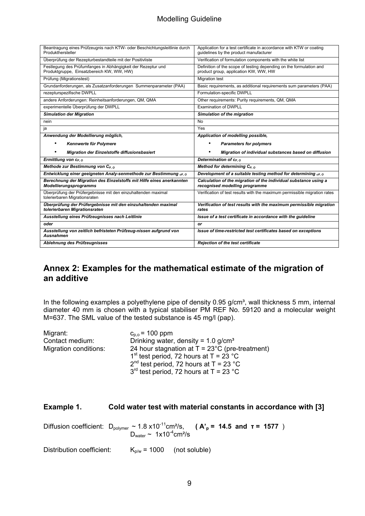| Beantragung eines Prüfzeugnis nach KTW- oder Beschichtungsleitlinie durch<br>Produkthersteller            | Application for a test certificate in accordance with KTW or coating<br>guidelines by the product manufacturer |
|-----------------------------------------------------------------------------------------------------------|----------------------------------------------------------------------------------------------------------------|
| Überprüfung der Rezepturbestandteile mit der Positivliste                                                 | Verification of formulation components with the white list                                                     |
| Festlegung des Prüfumfanges in Abhängigkeit der Rezeptur und<br>Produktgruppe, Einsatzbereich KW, WW, HW) | Definition of the scope of testing depending on the formulation and<br>product group, application KW, WW, HW   |
| Prüfung (Migrationstest)                                                                                  | <b>Migration test</b>                                                                                          |
| Grundanforderungen, als Zusatzanforderungen Summenparameter (PAA)                                         | Basic requirements, as additional requirements sum parameters (PAA)                                            |
| rezepturspezifische DWPLL                                                                                 | Formulation-specific DWPLL                                                                                     |
| andere Anforderungen: Reinheitsanforderungen, QM, QMA                                                     | Other requirements: Purity requirements, QM, QMA                                                               |
| experimentelle Überprüfung der DWPLL                                                                      | Examination of DWPLL                                                                                           |
| <b>Simulation der Migration</b>                                                                           | Simulation of the migration                                                                                    |
| nein                                                                                                      | <b>No</b>                                                                                                      |
| ja                                                                                                        | Yes                                                                                                            |
| Anwendung der Modellierung möglich,                                                                       | Application of modelling possible,                                                                             |
| Kennwerte für Polymere                                                                                    | <b>Parameters for polymers</b>                                                                                 |
| <b>Migration der Einzelstoffe diffusionsbasiert</b>                                                       | Migration of individual substances based on diffusion                                                          |
| Ermittlung von $c_{P, O}$                                                                                 | Determination of C <sub>P. O</sub>                                                                             |
| Methode zur Bestimmung von C <sub>P. O</sub>                                                              | Method for determining C <sub>P. O</sub>                                                                       |
| Entwicklung einer geeigneten Analy-senmethode zur Bestimmung ce. o                                        | Development of a suitable testing method for determining <sub>cP. O</sub>                                      |
| Berechnung der Migration des Einzelstoffs mit Hilfe eines anerkannten<br><b>Modellierungsprogramms</b>    | Calculation of the migration of the individual substance using a<br>recognised modelling programme             |
| Überprüfung der Prüfergebnisse mit den einzuhaltenden maximal                                             | Verification of test results with the maximum permissible migration rates                                      |
| tolerierbaren Migrationsraten                                                                             |                                                                                                                |
| Überprüfung der Prüfergebnisse mit den einzuhaltenden maximal<br>tolerierbaren Migrationsraten            | Verification of test results with the maximum permissible migration<br>rates                                   |
| Ausstellung eines Prüfzeugnisses nach Leitlinie                                                           | Issue of a test certificate in accordance with the guideline                                                   |
| oder                                                                                                      | or                                                                                                             |
| Ausstellung von zeitlich befristeten Prüfzeug-nissen aufgrund von<br>Ausnahmen                            | Issue of time-restricted test certificates based on exceptions                                                 |

## **Annex 2: Examples for the mathematical estimate of the migration of an additive**

In the following examples a polyethylene pipe of density  $0.95$  g/cm<sup>3</sup>, wall thickness 5 mm, internal diameter 40 mm is chosen with a typical stabiliser PM REF No. 59120 and a molecular weight M=637. The SML value of the tested substance is 45 mg/l (pap).

| Migrant:              | $c_{p,0}$ = 100 ppm                                      |
|-----------------------|----------------------------------------------------------|
| Contact medium:       | Drinking water, density = $1.0$ g/cm <sup>3</sup>        |
| Migration conditions: | 24 hour stagnation at $T = 23^{\circ}$ C (pre-treatment) |
|                       | 1 <sup>st</sup> test period, 72 hours at $T = 23$ °C     |
|                       | $2^{nd}$ test period, 72 hours at T = 23 °C              |
|                       | $3^{rd}$ test period, 72 hours at T = 23 °C              |

#### **Example 1. Cold water test with material constants in accordance with [3]**

Diffusion coefficient:  $D_{\text{polymer}} \sim 1.8 \times 10^{-11} \text{cm}^2/\text{s}$ , **(A'<sub>p</sub> = 14.5 and**  $\tau$  **= 1577**)  $D_{\text{water}} \sim 1x10^{-4} \text{cm}^2/\text{s}$ 

Distribution coefficient:  $K_{p/w} = 1000$  (not soluble)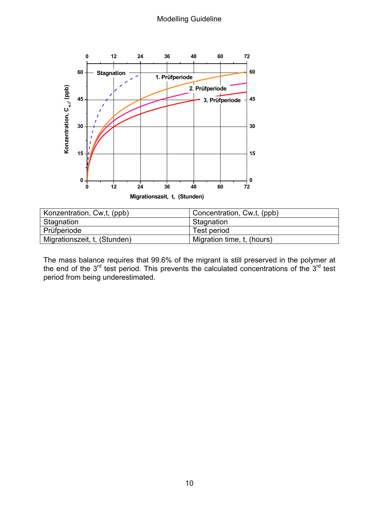

| Konzentration, Cw,t, (ppb)   | Concentration, Cw,t, (ppb) |
|------------------------------|----------------------------|
| Stagnation                   | Stagnation                 |
| Prüfperiode                  | Test period                |
| Migrationszeit, t, (Stunden) | Migration time, t, (hours) |

The mass balance requires that 99.6% of the migrant is still preserved in the polymer at the end of the  $3^{rd}$  test period. This prevents the calculated concentrations of the  $3^{rd}$  test period from being underestimated.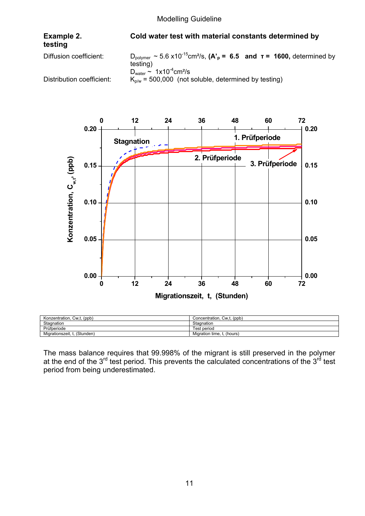# **testing**

#### **Example 2. Cold water test with material constants determined by**

Diffusion coefficient:  $D_{\text{polymer}} \sim 5.6 \times 10^{-15} \text{cm}^2/\text{s}$ ,  $(A_{\text{p}} = 6.5 \text{ and } \tau = 1600$ , determined by testing)  $D<sub>water</sub>$  ~ 1x10<sup>-4</sup>cm<sup>2</sup>/s Distribution coefficient:  $K_{p/w} = 500,000$  (not soluble, determined by testing)



| Konzentration, Cw,t, (ppb)   | Concentration, Cw,t, (ppb) |
|------------------------------|----------------------------|
| Stagnation                   | Stagnation                 |
| Prüfperiode                  | Test period                |
| Migrationszeit, t. (Stunden) | Migration time, t. (hours) |

The mass balance requires that 99.998% of the migrant is still preserved in the polymer at the end of the 3<sup>rd</sup> test period. This prevents the calculated concentrations of the 3<sup>rd</sup> test period from being underestimated.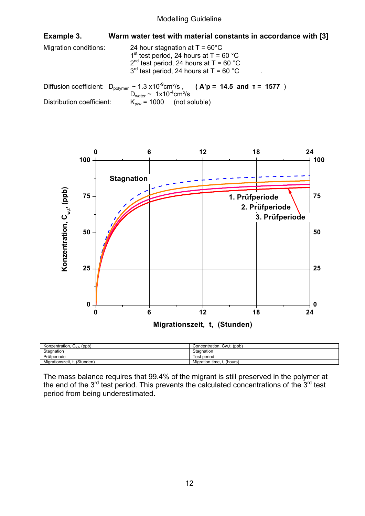| Example 3.                | Warm water test with material constants in accordance with [3]                                                                                                                                 |  |
|---------------------------|------------------------------------------------------------------------------------------------------------------------------------------------------------------------------------------------|--|
| Migration conditions:     | 24 hour stagnation at $T = 60^{\circ}$ C<br>1 <sup>st</sup> test period, 24 hours at $T = 60 °C$<br>$2^{nd}$ test period, 24 hours at T = 60 °C<br>$3^{rd}$ test period, 24 hours at T = 60 °C |  |
|                           | Diffusion coefficient: $D_{\text{polymer}} \sim 1.3 \times 10^{-9} \text{cm}^2/\text{s}$ , (A'p = 14.5 and $\tau = 1577$ )<br>$D_{\text{water}} \sim 1x10^{-4}$ cm <sup>2</sup> /s             |  |
| Distribution coefficient: | $K_{n/w}$ = 1000 (not soluble)                                                                                                                                                                 |  |



| Konzentration,<br>, $C_{w.t.}$ (ppb) | Concentration, Cw,t, (ppb) |
|--------------------------------------|----------------------------|
| Stagnation                           | Stagnation                 |
| Prüfperiode                          | Test period                |
| . ι. (Stunden)<br>Migrationszeit,    | Migration time, t. (hours) |

The mass balance requires that 99.4% of the migrant is still preserved in the polymer at the end of the  $3^{rd}$  test period. This prevents the calculated concentrations of the  $3^{rd}$  test period from being underestimated.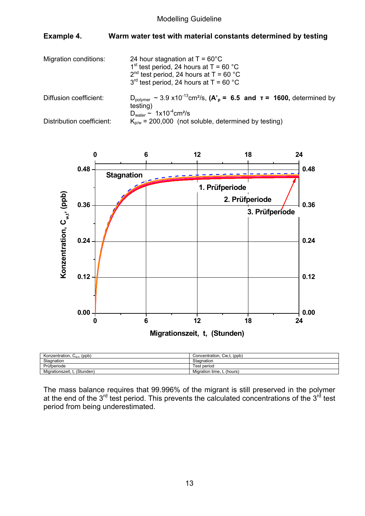#### **Example 4. Warm water test with material constants determined by testing**

Migration conditions:  $24$  hour stagnation at T =  $60^{\circ}$ C 1<sup>st</sup> test period, 24 hours at  $T = 60 °C$  $2<sup>nd</sup>$  test period, 24 hours at T = 60 °C  $3<sup>rd</sup>$  test period, 24 hours at T = 60 °C Diffusion coefficient:  $D_{\text{volume}} \sim 3.9 \times 10^{-13} \text{cm}^2/\text{s}$ ,  $(A_{\text{p}} = 6.5 \text{ and } \tau = 1600$ , determined by testing)  $D_{\text{water}} \sim 1x10^{-4} \text{cm}^2/\text{s}$ Distribution coefficient:  $K_{p/w} = 200,000$  (not soluble, determined by testing)



| Konzentration, $C_{w,t}$ , (ppb) | Concentration, Cw,t, (ppb) |
|----------------------------------|----------------------------|
| Stagnation                       | Stagnation                 |
| Prüfperiode                      | ⊺est period                |
| (Stunden)<br>Migrationszeit.     | Migration time, t, (hours) |

The mass balance requires that 99.996% of the migrant is still preserved in the polymer at the end of the  $3^{rd}$  test period. This prevents the calculated concentrations of the  $3^{rd}$  test period from being underestimated.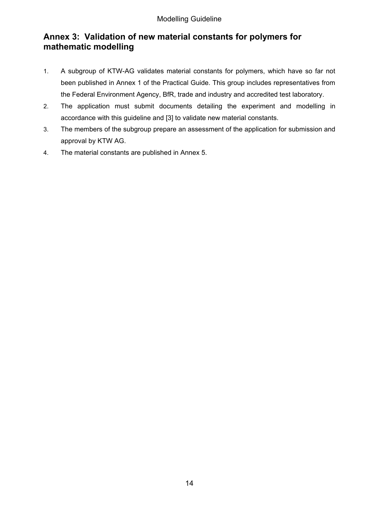## **Annex 3: Validation of new material constants for polymers for mathematic modelling**

- 1. A subgroup of KTW-AG validates material constants for polymers, which have so far not been published in Annex 1 of the Practical Guide. This group includes representatives from the Federal Environment Agency, BfR, trade and industry and accredited test laboratory.
- 2. The application must submit documents detailing the experiment and modelling in accordance with this guideline and [3] to validate new material constants.
- 3. The members of the subgroup prepare an assessment of the application for submission and approval by KTW AG.
- 4. The material constants are published in Annex 5.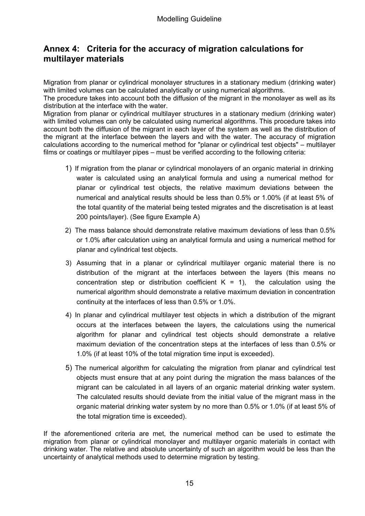## **Annex 4: Criteria for the accuracy of migration calculations for multilayer materials**

Migration from planar or cylindrical monolayer structures in a stationary medium (drinking water) with limited volumes can be calculated analytically or using numerical algorithms.

The procedure takes into account both the diffusion of the migrant in the monolayer as well as its distribution at the interface with the water.

Migration from planar or cylindrical multilayer structures in a stationary medium (drinking water) with limited volumes can only be calculated using numerical algorithms. This procedure takes into account both the diffusion of the migrant in each layer of the system as well as the distribution of the migrant at the interface between the layers and with the water. The accuracy of migration calculations according to the numerical method for "planar or cylindrical test objects" – multilayer films or coatings or multilayer pipes – must be verified according to the following criteria:

- 1) If migration from the planar or cylindrical monolayers of an organic material in drinking water is calculated using an analytical formula and using a numerical method for planar or cylindrical test objects, the relative maximum deviations between the numerical and analytical results should be less than 0.5% or 1.00% (if at least 5% of the total quantity of the material being tested migrates and the discretisation is at least 200 points/layer). (See figure Example A)
- 2) The mass balance should demonstrate relative maximum deviations of less than 0.5% or 1.0% after calculation using an analytical formula and using a numerical method for planar and cylindrical test objects.
- 3) Assuming that in a planar or cylindrical multilayer organic material there is no distribution of the migrant at the interfaces between the layers (this means no concentration step or distribution coefficient  $K = 1$ ), the calculation using the numerical algorithm should demonstrate a relative maximum deviation in concentration continuity at the interfaces of less than 0.5% or 1.0%.
- 4) In planar and cylindrical multilayer test objects in which a distribution of the migrant occurs at the interfaces between the layers, the calculations using the numerical algorithm for planar and cylindrical test objects should demonstrate a relative maximum deviation of the concentration steps at the interfaces of less than 0.5% or 1.0% (if at least 10% of the total migration time input is exceeded).
- 5) The numerical algorithm for calculating the migration from planar and cylindrical test objects must ensure that at any point during the migration the mass balances of the migrant can be calculated in all layers of an organic material drinking water system. The calculated results should deviate from the initial value of the migrant mass in the organic material drinking water system by no more than 0.5% or 1.0% (if at least 5% of the total migration time is exceeded).

If the aforementioned criteria are met, the numerical method can be used to estimate the migration from planar or cylindrical monolayer and multilayer organic materials in contact with drinking water. The relative and absolute uncertainty of such an algorithm would be less than the uncertainty of analytical methods used to determine migration by testing.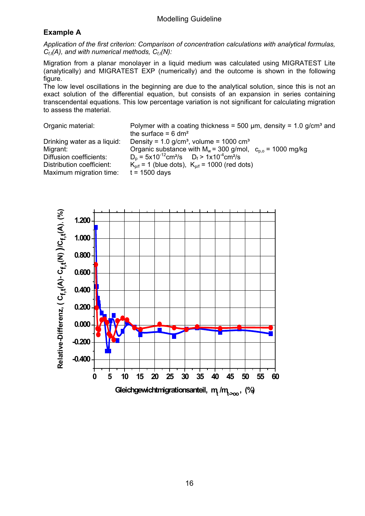## **Example A**

*Application of the first criterion: Comparison of concentration calculations with analytical formulas, C<sub>ft</sub>(A), and with numerical methods, C<sub>ft</sub>(N):* 

Migration from a planar monolayer in a liquid medium was calculated using MIGRATEST Lite (analytically) and MIGRATEST EXP (numerically) and the outcome is shown in the following figure.

The low level oscillations in the beginning are due to the analytical solution, since this is not an exact solution of the differential equation, but consists of an expansion in series containing transcendental equations. This low percentage variation is not significant for calculating migration to assess the material.

Organic material: Polymer with a coating thickness = 500  $\mu$ m, density = 1.0 g/cm<sup>3</sup> and

Maximum migration time:  $t = 1500$  days

the surface  $= 6$  dm<sup>2</sup> Drinking water as a liquid: Density =  $1.0$  g/cm<sup>3</sup>, volume =  $1000$  cm<sup>3</sup> Migrant:  $Organic substance with M<sub>w</sub> = 300 g/mol,  $c<sub>p,o</sub> = 1000 \text{ mg/kg}$$ Diffusion coefficients:  $D_p = 5x10^{-12} \text{cm}^2/\text{s}$   $D_f > 1x10^{-4} \text{cm}^2/\text{s}$ Distribution coefficient:  $K_{p/f} = 1$  (blue dots),  $K_{p/f} = 1000$  (red dots)

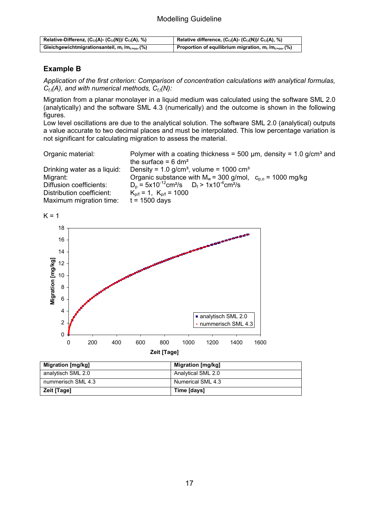| Relative-Differenz, $(C_{f,t}(A) - (C_{f,t}(N))/C_{f,t}(A), %$    | Relative difference, $(C_{f,t}(A) - (C_{f,t}(N))/C_{f,t}(A), %$         |
|-------------------------------------------------------------------|-------------------------------------------------------------------------|
| Gleichgewichtmigrationsanteil, $m_t/m_{t\rightarrow\infty}$ , (%) | Proportion of equilibrium migration, $m_t/m_{t\rightarrow\infty}$ , (%) |

#### **Example B**

*Application of the first criterion: Comparison of concentration calculations with analytical formulas, C<sub>ft</sub>(A), and with numerical methods, C<sub>ft</sub>(N):* 

Migration from a planar monolayer in a liquid medium was calculated using the software SML 2.0 (analytically) and the software SML 4.3 (numerically) and the outcome is shown in the following figures.

Low level oscillations are due to the analytical solution. The software SML 2.0 (analytical) outputs a value accurate to two decimal places and must be interpolated. This low percentage variation is not significant for calculating migration to assess the material.

| Organic material:           | Polymer with a coating thickness = 500 $\mu$ m, density = 1.0 g/cm <sup>3</sup> and<br>the surface = $6 \text{ dm}^2$ |
|-----------------------------|-----------------------------------------------------------------------------------------------------------------------|
|                             |                                                                                                                       |
| Drinking water as a liquid: | Density = $1.0$ g/cm <sup>3</sup> , volume = $1000$ cm <sup>3</sup>                                                   |
| Migrant:                    | Organic substance with $M_w$ = 300 g/mol, $c_{p,0}$ = 1000 mg/kg                                                      |
| Diffusion coefficients:     | $D_0 = 5x10^{-12}$ cm <sup>2</sup> /s $D_f > 1x10^{-4}$ cm <sup>2</sup> /s                                            |
| Distribution coefficient:   | $K_{p/f} = 1$ , $K_{p/f} = 1000$                                                                                      |
| Maximum migration time:     | $t = 1500$ days                                                                                                       |





| Migration [mg/kg]  | Migration [mg/kg]  |
|--------------------|--------------------|
| analytisch SML 2.0 | Analytical SML 2.0 |
| nummerisch SML 4.3 | Numerical SML 4.3  |
| Zeit [Tage]        | Time [days]        |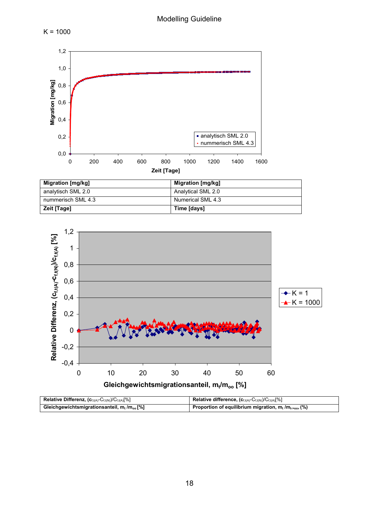



| analytisch SML 2.0<br>Analytical SML 2.0 | <b>Migration [mg/Kg]</b> | <b>Migration [mg/Kg]</b> |
|------------------------------------------|--------------------------|--------------------------|
|                                          |                          |                          |
| Numerical SML 4.3<br>nummerisch SML 4.3  |                          |                          |
| Time [days]<br><b>Zeit [Tage]</b>        |                          |                          |



| Relative Differenz, $(c_{f,t(A)}-C_{f,t(N)})/C_{f,t(A)}[%]$ | Relative difference, $(c_{f,t(A)}-C_{f,t(N)})/C_{f,t(A)}[\%]$           |
|-------------------------------------------------------------|-------------------------------------------------------------------------|
| Gleichgewichtsmigrationsanteil, $m_t/m_{oo}$ [%]            | Proportion of equilibrium migration, $m_t/m_{t\rightarrow\infty}$ , (%) |